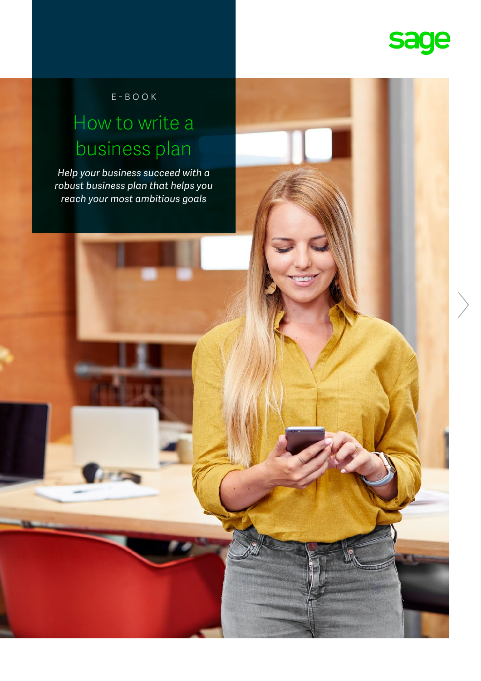

E-book

### How to write a business plan

*Help your business succeed with a robust business plan that helps you reach your most ambitious goals* 

**Curry**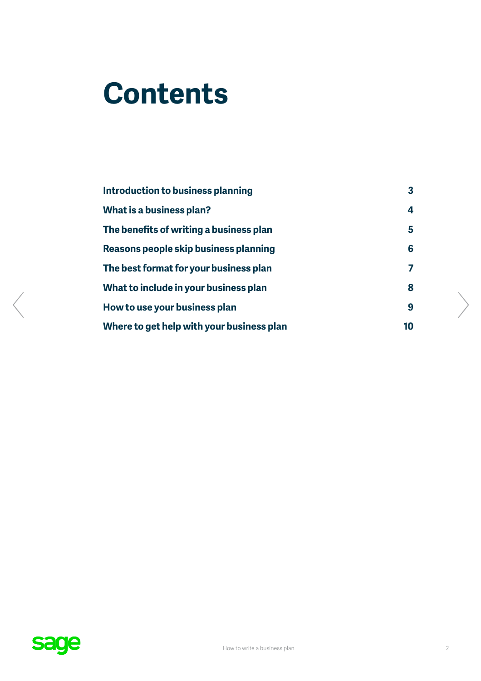# **Contents**

| Introduction to business planning         | $\overline{\mathbf{3}}$ |
|-------------------------------------------|-------------------------|
| What is a business plan?                  | 4                       |
| The benefits of writing a business plan   | 5                       |
| Reasons people skip business planning     | 6                       |
| The best format for your business plan    | 7                       |
| What to include in your business plan     | 8                       |
| How to use your business plan             | 9                       |
| Where to get help with your business plan | 10                      |

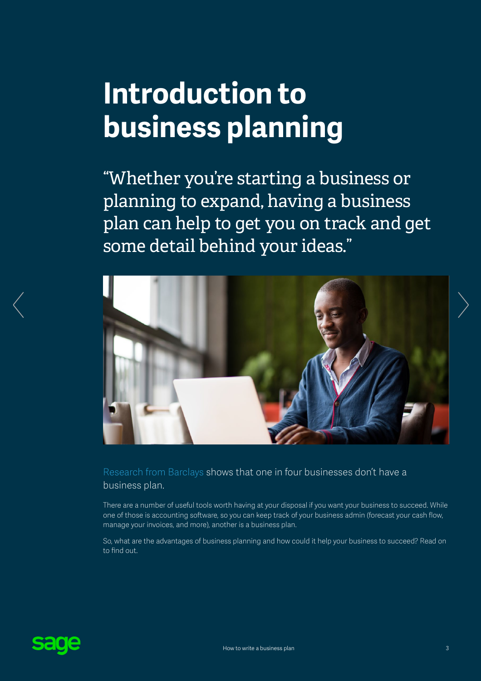# <span id="page-2-0"></span>**Introduction to business planning**

"Whether you're starting a business or planning to expand, having a business plan can help to get you on track and get some detail behind your ideas."



[Research from Barclays](https://www.talk-business.co.uk/2015/01/29/1-4-uk-smes-dont-use-business-plan/) shows that one in four businesses don't have a business plan.

There are a number of useful tools worth having at your disposal if you want your business to succeed. While one of those is accounting software, so you can keep track of your business admin (forecast your cash flow, manage your invoices, and more), another is a business plan.

So, what are the advantages of business planning and how could it help your business to succeed? Read on to find out.

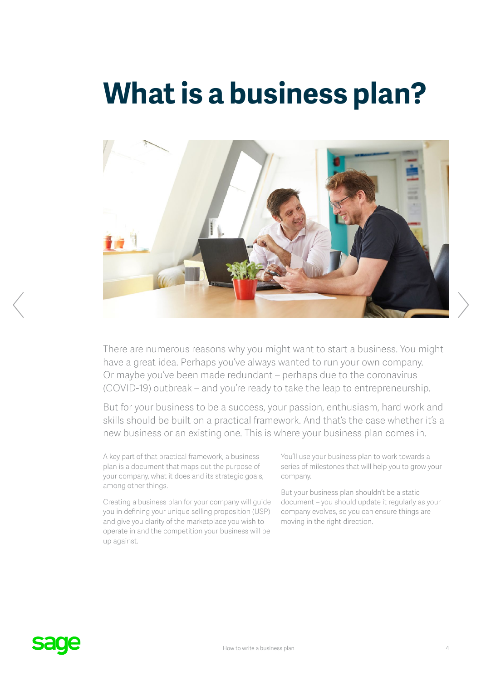### <span id="page-3-0"></span>**What is a business plan?**



There are numerous reasons why you might want to start a business. You might have a great idea. Perhaps you've always wanted to run your own company. Or maybe you've been made redundant – perhaps due to the coronavirus (COVID-19) outbreak – and you're ready to take the leap to entrepreneurship.

But for your business to be a success, your passion, enthusiasm, hard work and skills should be built on a practical framework. And that's the case whether it's a new business or an existing one. This is where your business plan comes in.

A key part of that practical framework, a business plan is a document that maps out the purpose of your company, what it does and its strategic goals, among other things.

Creating a business plan for your company will guide you in defining your unique selling proposition (USP) and give you clarity of the marketplace you wish to operate in and the competition your business will be up against.

You'll use your business plan to work towards a series of milestones that will help you to grow your company.

But your business plan shouldn't be a static document – you should update it regularly as your company evolves, so you can ensure things are moving in the right direction.

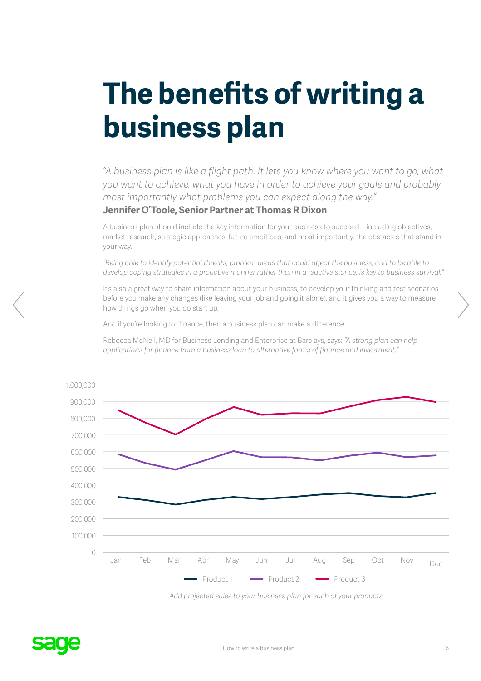# <span id="page-4-0"></span>**The benefits of writing a business plan**

*"A business plan is like a flight path. It lets you know where you want to go, what you want to achieve, what you have in order to achieve your goals and probably most importantly what problems you can expect along the way."* 

### **Jennifer O'Toole, Senior Partner at Thomas R Dixon**

A business plan should include the key information for your business to succeed – including objectives, market research, strategic approaches, future ambitions, and most importantly, the obstacles that stand in your way.

*"Being able to identify potential threats, problem areas that could affect the business, and to be able to develop coping strategies in a proactive manner rather than in a reactive stance, is key to business survival."*

It's also a great way to share information about your business, to develop your thinking and test scenarios before you make any changes (like leaving your job and going it alone), and it gives you a way to measure how things go when you do start up.

And if you're looking for finance, then a business plan can make a difference.

Rebecca McNeil, MD for Business Lending and Enterprise at Barclays, says: *"A strong plan can help applications for finance from a business loan to alternative forms of finance and investment."*



*Add projected sales to your business plan for each of your products*

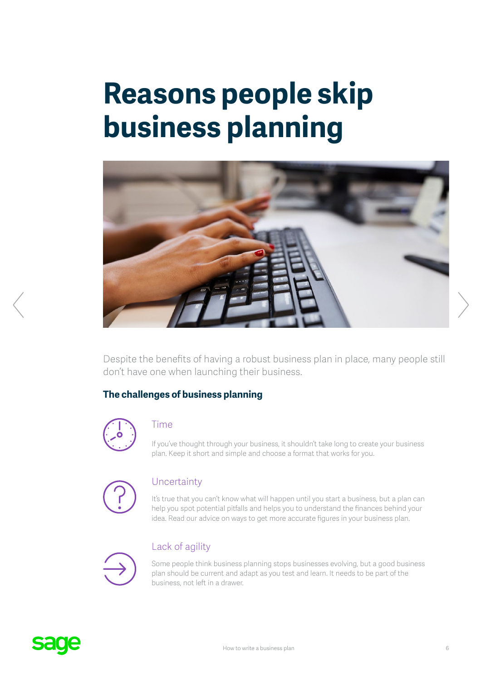# <span id="page-5-0"></span>**Reasons people skip business planning**



Despite the benefits of having a robust business plan in place, many people still don't have one when launching their business.

### **The challenges of business planning**



### Time

If you've thought through your business, it shouldn't take long to create your business plan. Keep it short and simple and choose a format that works for you.



### **Uncertainty**

It's true that you can't know what will happen until you start a business, but a plan can help you spot potential pitfalls and helps you to understand the finances behind your idea. Read our advice on ways to get more accurate figures in your business plan.



### Lack of agility

Some people think business planning stops businesses evolving, but a good business plan should be current and adapt as you test and learn. It needs to be part of the business, not left in a drawer.

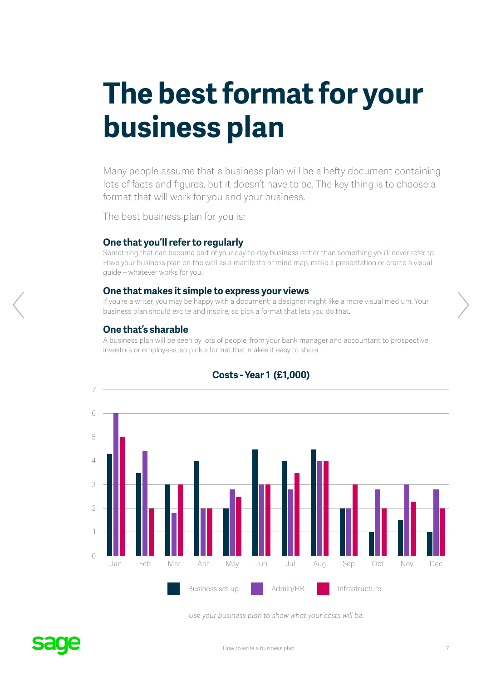# <span id="page-6-0"></span>**The best format for your business plan**

Many people assume that a business plan will be a hefty document containing lots of facts and figures, but it doesn't have to be. The key thing is to choose a format that will work for you and your business.

The best business plan for you is:

#### **One that you'll refer to regularly**

Something that can become part of your day-to-day business rather than something you'll never refer to. Have your business plan on the wall as a manifesto or mind map, make a presentation or create a visual guide – whatever works for you.

#### **One that makes it simple to express your views**

If you're a writer, you may be happy with a document; a designer might like a more visual medium. Your business plan should excite and inspire, so pick a format that lets you do that.

#### **One that's sharable**

A business plan will be seen by lots of people, from your bank manager and accountant to prospective investors or employees, so pick a format that makes it easy to share.



### **Costs - Year 1 (£1,000)**

*Use your business plan to show what your costs will be.*

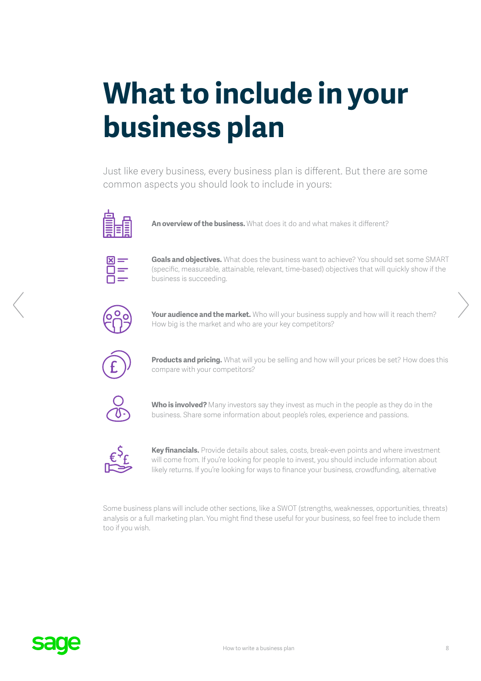# <span id="page-7-0"></span>**What to include in your business plan**

Just like every business, every business plan is different. But there are some common aspects you should look to include in yours:



**An overview of the business.** What does it do and what makes it different?



**Goals and objectives.** What does the business want to achieve? You should set some SMART (specific, measurable, attainable, relevant, time-based) objectives that will quickly show if the business is succeeding.



Your audience and the market. Who will your business supply and how will it reach them? How big is the market and who are your key competitors?



**Products and pricing.** What will you be selling and how will your prices be set? How does this compare with your competitors?



**Who is involved?** Many investors say they invest as much in the people as they do in the business. Share some information about people's roles, experience and passions.



**Key financials.** Provide details about sales, costs, break-even points and where investment will come from. If you're looking for people to invest, you should include information about likely returns. If you're looking for ways to finance your business, crowdfunding, alternative

Some business plans will include other sections, like a SWOT (strengths, weaknesses, opportunities, threats) analysis or a full marketing plan. You might find these useful for your business, so feel free to include them too if you wish.

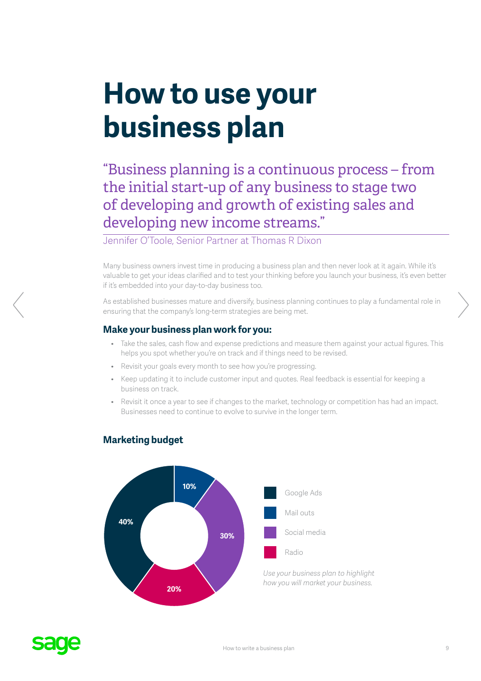# <span id="page-8-0"></span>**How to use your business plan**

"Business planning is a continuous process – from the initial start-up of any business to stage two of developing and growth of existing sales and developing new income streams."

Jennifer O'Toole, Senior Partner at Thomas R Dixon

Many business owners invest time in producing a business plan and then never look at it again. While it's valuable to get your ideas clarified and to test your thinking before you launch your business, it's even better if it's embedded into your day-to-day business too.

As established businesses mature and diversify, business planning continues to play a fundamental role in ensuring that the company's long-term strategies are being met.

### **Make your business plan work for you:**

- Take the sales, cash flow and expense predictions and measure them against your actual figures. This helps you spot whether you're on track and if things need to be revised.
- Revisit your goals every month to see how you're progressing.
- Keep updating it to include customer input and quotes. Real feedback is essential for keeping a business on track.
- Revisit it once a year to see if changes to the market, technology or competition has had an impact. Businesses need to continue to evolve to survive in the longer term.



### **Marketing budget**

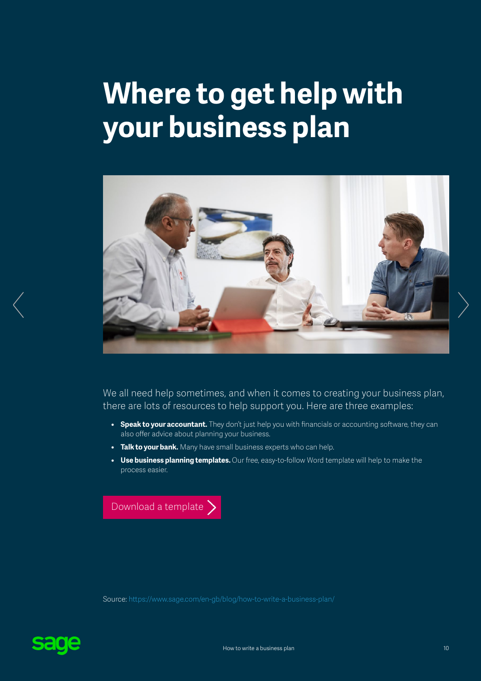# <span id="page-9-0"></span>**Where to get help with your business plan**



We all need help sometimes, and when it comes to creating your business plan, there are lots of resources to help support you. Here are three examples:

- **• Speak to your accountant.** They don't just help you with financials or accounting software, they can also offer advice about planning your business.
- **• Talk to your bank.** Many have small business experts who can help.
- **• Use business planning templates.** Our free, easy-to-follow Word template will help to make the process easier.

[Download a template](https://www.sage.com/en-gb/blog/how-to-write-a-business-plan/#gate-d27add0e-aae1-4710-b369-918a9b4c1b46)  $\sum$ 

Source:<https://www.sage.com/en-gb/blog/how-to-write-a-business-plan/>